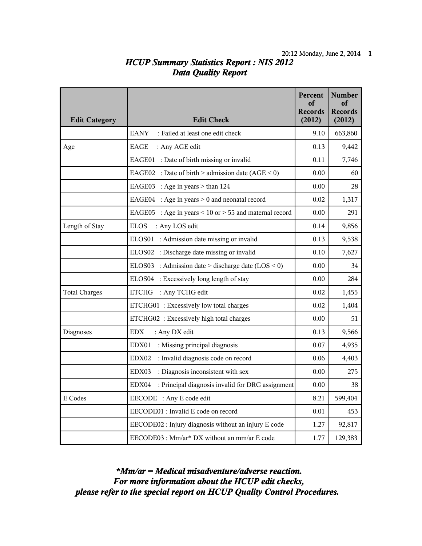## *HCUP Summary Statistics Report : NIS 2012 Data Quality Report*

| <b>Edit Category</b> | <b>Edit Check</b>                                         | Percent<br>of<br><b>Records</b><br>(2012) | <b>Number</b><br>of<br><b>Records</b><br>(2012) |
|----------------------|-----------------------------------------------------------|-------------------------------------------|-------------------------------------------------|
|                      | <b>EANY</b><br>: Failed at least one edit check           | 9.10                                      | 663,860                                         |
| Age                  | EAGE<br>: Any AGE edit                                    | 0.13                                      | 9,442                                           |
|                      | EAGE01 : Date of birth missing or invalid                 | 0.11                                      | 7,746                                           |
|                      | EAGE02 : Date of birth > admission date (AGE < 0)         | 0.00                                      | 60                                              |
|                      | EAGE03 : Age in years $>$ than 124                        | 0.00                                      | 28                                              |
|                      | EAGE04 : Age in years $> 0$ and neonatal record           | 0.02                                      | 1,317                                           |
|                      | EAGE05 : Age in years < 10 or > 55 and maternal record    | 0.00                                      | 291                                             |
| Length of Stay       | <b>ELOS</b><br>: Any LOS edit                             | 0.14                                      | 9,856                                           |
|                      | ELOS01 : Admission date missing or invalid                | 0.13                                      | 9,538                                           |
|                      | ELOS02 : Discharge date missing or invalid                | 0.10                                      | 7,627                                           |
|                      | ELOS03 : Admission date > discharge date $(LOS < 0)$      | 0.00                                      | 34                                              |
|                      | ELOS04 : Excessively long length of stay                  | 0.00                                      | 284                                             |
| <b>Total Charges</b> | <b>ETCHG</b><br>: Any TCHG edit                           | 0.02                                      | 1,455                                           |
|                      | ETCHG01 : Excessively low total charges                   | 0.02                                      | 1,404                                           |
|                      | ETCHG02 : Excessively high total charges                  | 0.00                                      | 51                                              |
| Diagnoses            | <b>EDX</b><br>: Any DX edit                               | 0.13                                      | 9,566                                           |
|                      | EDX01<br>: Missing principal diagnosis                    | 0.07                                      | 4,935                                           |
|                      | : Invalid diagnosis code on record<br>EDX02               | 0.06                                      | 4,403                                           |
|                      | : Diagnosis inconsistent with sex<br>EDX03                | 0.00                                      | 275                                             |
|                      | EDX04<br>: Principal diagnosis invalid for DRG assignment | 0.00                                      | 38                                              |
| E Codes              | EECODE : Any E code edit                                  | 8.21                                      | 599,404                                         |
|                      | EECODE01 : Invalid E code on record                       | 0.01                                      | 453                                             |
|                      | EECODE02 : Injury diagnosis without an injury E code      | 1.27                                      | 92,817                                          |
|                      | EECODE03 : Mm/ar* DX without an mm/ar E code              | 1.77                                      | 129,383                                         |

*please refer to the special report on HCUP Quality Control Procedures. For more information about the HCUP edit checks, \*Mm/ar = Medical misadventure/adverse reaction.*